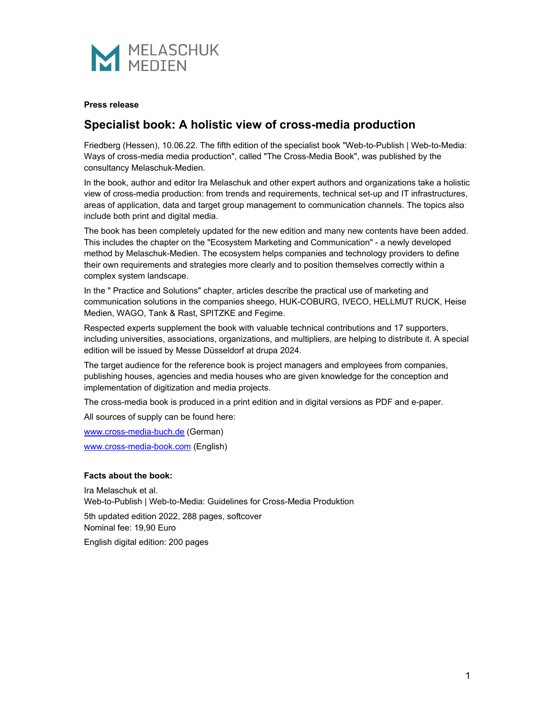

#### **Press release**

# **Specialist book: A holistic view of cross-media production**

Friedberg (Hessen), 10.06.22. The fifth edition of the specialist book "Web-to-Publish | Web-to-Media: Ways of cross-media media production", called "The Cross-Media Book", was published by the consultancy Melaschuk-Medien.

In the book, author and editor Ira Melaschuk and other expert authors and organizations take a holistic view of cross-media production: from trends and requirements, technical set-up and IT infrastructures, areas of application, data and target group management to communication channels. The topics also include both print and digital media.

The book has been completely updated for the new edition and many new contents have been added. This includes the chapter on the "Ecosystem Marketing and Communication" - a newly developed method by Melaschuk-Medien. The ecosystem helps companies and technology providers to define their own requirements and strategies more clearly and to position themselves correctly within a complex system landscape.

In the " Practice and Solutions" chapter, articles describe the practical use of marketing and communication solutions in the companies sheego, HUK-COBURG, IVECO, HELLMUT RUCK, Heise Medien, WAGO, Tank & Rast, SPITZKE and Fegime.

Respected experts supplement the book with valuable technical contributions and 17 supporters, including universities, associations, organizations, and multipliers, are helping to distribute it. A special edition will be issued by Messe Düsseldorf at drupa 2024.

The target audience for the reference book is project managers and employees from companies, publishing houses, agencies and media houses who are given knowledge for the conception and implementation of digitization and media projects.

The cross-media book is produced in a print edition and in digital versions as PDF and e-paper.

All sources of supply can be found here:

www.cross-media-buch.de (German)

www.cross-media-book.com (English)

#### **Facts about the book:**

Ira Melaschuk et al. Web-to-Publish | Web-to-Media: Guidelines for Cross-Media Produktion

5th updated edition 2022, 288 pages, softcover Nominal fee: 19,90 Euro

English digital edition: 200 pages